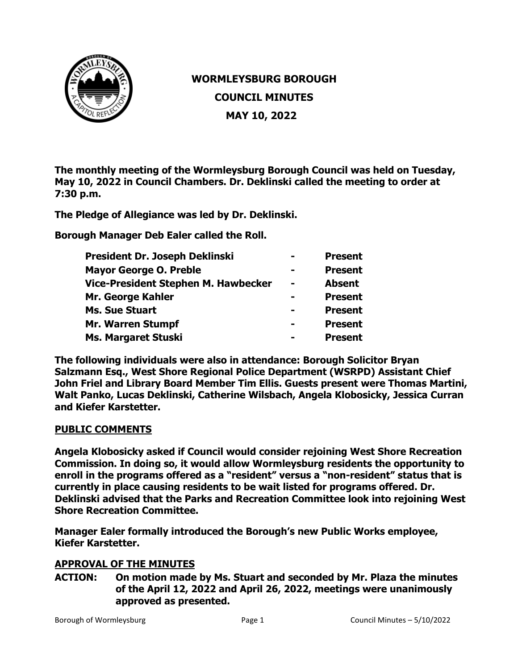

# **WORMLEYSBURG BOROUGH COUNCIL MINUTES MAY 10, 2022**

**The monthly meeting of the Wormleysburg Borough Council was held on Tuesday, May 10, 2022 in Council Chambers. Dr. Deklinski called the meeting to order at 7:30 p.m.** 

**The Pledge of Allegiance was led by Dr. Deklinski.** 

**Borough Manager Deb Ealer called the Roll.**

| President Dr. Joseph Deklinski      |                | <b>Present</b> |
|-------------------------------------|----------------|----------------|
| <b>Mayor George O. Preble</b>       |                | <b>Present</b> |
| Vice-President Stephen M. Hawbecker | $\blacksquare$ | <b>Absent</b>  |
| Mr. George Kahler                   |                | <b>Present</b> |
| <b>Ms. Sue Stuart</b>               | -              | <b>Present</b> |
| <b>Mr. Warren Stumpf</b>            |                | <b>Present</b> |
| <b>Ms. Margaret Stuski</b>          |                | <b>Present</b> |

**The following individuals were also in attendance: Borough Solicitor Bryan Salzmann Esq., West Shore Regional Police Department (WSRPD) Assistant Chief John Friel and Library Board Member Tim Ellis. Guests present were Thomas Martini, Walt Panko, Lucas Deklinski, Catherine Wilsbach, Angela Klobosicky, Jessica Curran and Kiefer Karstetter.** 

## **PUBLIC COMMENTS**

**Angela Klobosicky asked if Council would consider rejoining West Shore Recreation Commission. In doing so, it would allow Wormleysburg residents the opportunity to enroll in the programs offered as a "resident" versus a "non-resident" status that is currently in place causing residents to be wait listed for programs offered. Dr. Deklinski advised that the Parks and Recreation Committee look into rejoining West Shore Recreation Committee.**

**Manager Ealer formally introduced the Borough's new Public Works employee, Kiefer Karstetter.** 

## **APPROVAL OF THE MINUTES**

**ACTION: On motion made by Ms. Stuart and seconded by Mr. Plaza the minutes of the April 12, 2022 and April 26, 2022, meetings were unanimously approved as presented.**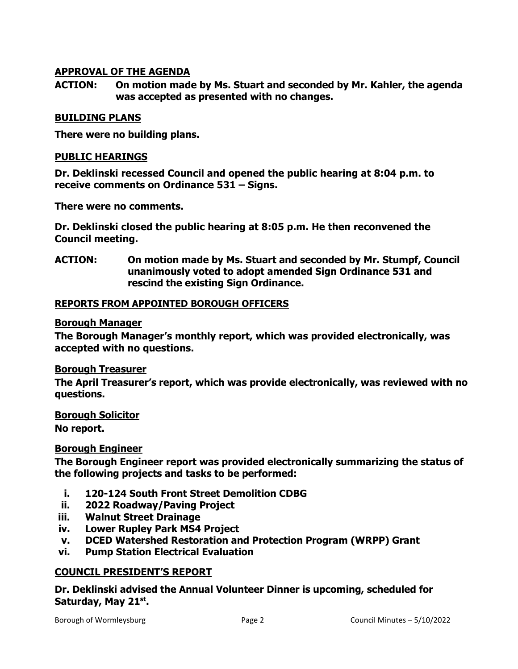# **APPROVAL OF THE AGENDA**

**ACTION: On motion made by Ms. Stuart and seconded by Mr. Kahler, the agenda was accepted as presented with no changes.**

#### **BUILDING PLANS**

**There were no building plans.** 

#### **PUBLIC HEARINGS**

**Dr. Deklinski recessed Council and opened the public hearing at 8:04 p.m. to receive comments on Ordinance 531 – Signs.**

**There were no comments.**

**Dr. Deklinski closed the public hearing at 8:05 p.m. He then reconvened the Council meeting.**

**ACTION: On motion made by Ms. Stuart and seconded by Mr. Stumpf, Council unanimously voted to adopt amended Sign Ordinance 531 and rescind the existing Sign Ordinance.**

#### **REPORTS FROM APPOINTED BOROUGH OFFICERS**

#### **Borough Manager**

**The Borough Manager's monthly report, which was provided electronically, was accepted with no questions.** 

#### **Borough Treasurer**

**The April Treasurer's report, which was provide electronically, was reviewed with no questions.** 

**Borough Solicitor** 

**No report.**

#### **Borough Engineer**

**The Borough Engineer report was provided electronically summarizing the status of the following projects and tasks to be performed:**

- **i. 120-124 South Front Street Demolition CDBG**
- **ii. 2022 Roadway/Paving Project**
- **iii. Walnut Street Drainage**
- **iv. Lower Rupley Park MS4 Project**
- **v. DCED Watershed Restoration and Protection Program (WRPP) Grant**
- **vi. Pump Station Electrical Evaluation**

#### **COUNCIL PRESIDENT'S REPORT**

**Dr. Deklinski advised the Annual Volunteer Dinner is upcoming, scheduled for Saturday, May 21st.**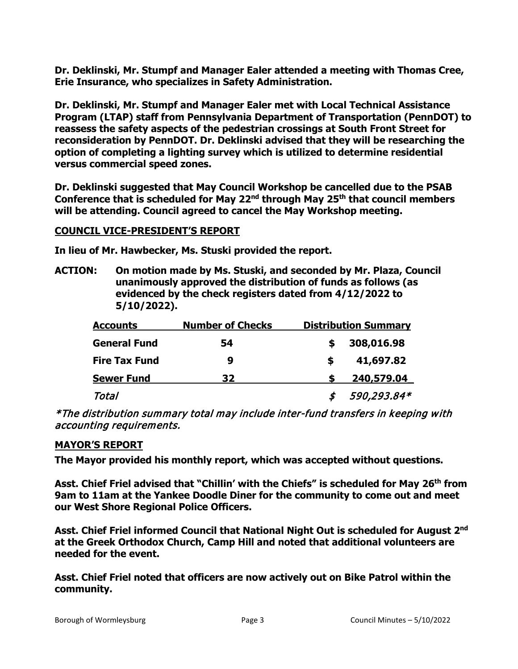**Dr. Deklinski, Mr. Stumpf and Manager Ealer attended a meeting with Thomas Cree, Erie Insurance, who specializes in Safety Administration.** 

**Dr. Deklinski, Mr. Stumpf and Manager Ealer met with Local Technical Assistance Program (LTAP) staff from Pennsylvania Department of Transportation (PennDOT) to reassess the safety aspects of the pedestrian crossings at South Front Street for reconsideration by PennDOT. Dr. Deklinski advised that they will be researching the option of completing a lighting survey which is utilized to determine residential versus commercial speed zones.** 

**Dr. Deklinski suggested that May Council Workshop be cancelled due to the PSAB Conference that is scheduled for May 22nd through May 25th that council members will be attending. Council agreed to cancel the May Workshop meeting.**

## **COUNCIL VICE-PRESIDENT'S REPORT**

**In lieu of Mr. Hawbecker, Ms. Stuski provided the report.**

**ACTION: On motion made by Ms. Stuski, and seconded by Mr. Plaza, Council unanimously approved the distribution of funds as follows (as evidenced by the check registers dated from 4/12/2022 to 5/10/2022).**

| <b>Accounts</b>      | <b>Number of Checks</b> | <b>Distribution Summary</b> |
|----------------------|-------------------------|-----------------------------|
| <b>General Fund</b>  | 54                      | 308,016.98                  |
| <b>Fire Tax Fund</b> | 9                       | 41,697.82<br>S              |
| <b>Sewer Fund</b>    | 32                      | 240,579.04                  |
| Total                |                         | 590,293.84*                 |

\*The distribution summary total may include inter-fund transfers in keeping with accounting requirements.

## **MAYOR'S REPORT**

**The Mayor provided his monthly report, which was accepted without questions.** 

Asst. Chief Friel advised that "Chillin' with the Chiefs" is scheduled for May 26<sup>th</sup> from **9am to 11am at the Yankee Doodle Diner for the community to come out and meet our West Shore Regional Police Officers.** 

**Asst. Chief Friel informed Council that National Night Out is scheduled for August 2nd at the Greek Orthodox Church, Camp Hill and noted that additional volunteers are needed for the event.** 

**Asst. Chief Friel noted that officers are now actively out on Bike Patrol within the community.**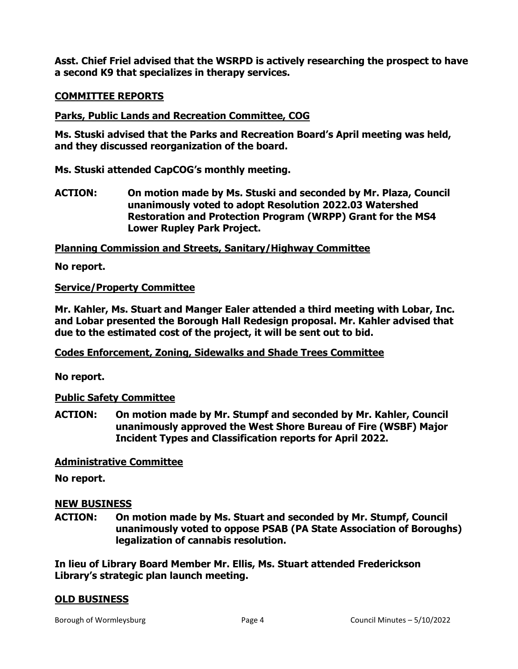**Asst. Chief Friel advised that the WSRPD is actively researching the prospect to have a second K9 that specializes in therapy services.** 

## **COMMITTEE REPORTS**

# **Parks, Public Lands and Recreation Committee, COG**

**Ms. Stuski advised that the Parks and Recreation Board's April meeting was held, and they discussed reorganization of the board.** 

**Ms. Stuski attended CapCOG's monthly meeting.**

**ACTION: On motion made by Ms. Stuski and seconded by Mr. Plaza, Council unanimously voted to adopt Resolution 2022.03 Watershed Restoration and Protection Program (WRPP) Grant for the MS4 Lower Rupley Park Project.**

**Planning Commission and Streets, Sanitary/Highway Committee**

**No report.**

# **Service/Property Committee**

**Mr. Kahler, Ms. Stuart and Manger Ealer attended a third meeting with Lobar, Inc. and Lobar presented the Borough Hall Redesign proposal. Mr. Kahler advised that due to the estimated cost of the project, it will be sent out to bid.** 

## **Codes Enforcement, Zoning, Sidewalks and Shade Trees Committee**

**No report.**

## **Public Safety Committee**

**ACTION: On motion made by Mr. Stumpf and seconded by Mr. Kahler, Council unanimously approved the West Shore Bureau of Fire (WSBF) Major Incident Types and Classification reports for April 2022.** 

## **Administrative Committee**

**No report.**

## **NEW BUSINESS**

**ACTION: On motion made by Ms. Stuart and seconded by Mr. Stumpf, Council unanimously voted to oppose PSAB (PA State Association of Boroughs) legalization of cannabis resolution.** 

**In lieu of Library Board Member Mr. Ellis, Ms. Stuart attended Frederickson Library's strategic plan launch meeting.** 

## **OLD BUSINESS**